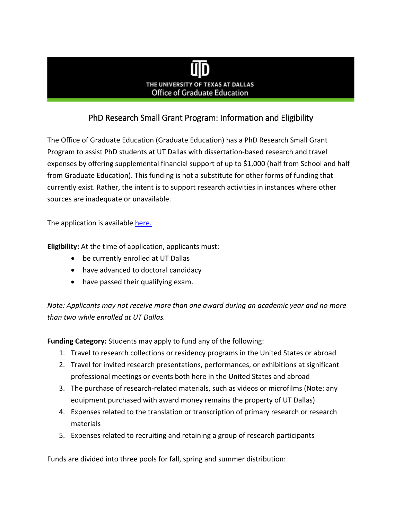## THE UNIVERSITY OF TEXAS AT DALLAS **Office of Graduate Education**

## PhD Research Small Grant Program: Information and Eligibility

The Office of Graduate Education (Graduate Education) has a PhD Research Small Grant Program to assist PhD students at UT Dallas with dissertation-based research and travel expenses by offering supplemental financial support of up to \$1,000 (half from School and half from Graduate Education). This funding is not a substitute for other forms of funding that currently exist. Rather, the intent is to support research activities in instances where other sources are inadequate or unavailable.

The application is available [here.](https://graduate.utdallas.edu/docs/PhD%20Research%20Small%20Grant%20application%202020.pdf)

**Eligibility:** At the time of application, applicants must:

- be currently enrolled at UT Dallas
- have advanced to doctoral candidacy
- have passed their qualifying exam.

*Note: Applicants may not receive more than one award during an academic year and no more than two while enrolled at UT Dallas.*

**Funding Category:** Students may apply to fund any of the following:

- 1. Travel to research collections or residency programs in the United States or abroad
- 2. Travel for invited research presentations, performances, or exhibitions at significant professional meetings or events both here in the United States and abroad
- 3. The purchase of research-related materials, such as videos or microfilms (Note: any equipment purchased with award money remains the property of UT Dallas)
- 4. Expenses related to the translation or transcription of primary research or research materials
- 5. Expenses related to recruiting and retaining a group of research participants

Funds are divided into three pools for fall, spring and summer distribution: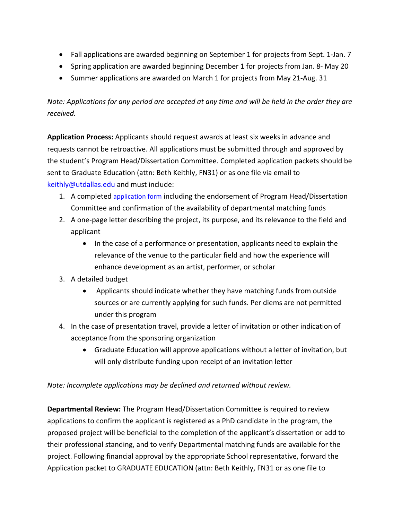- Fall applications are awarded beginning on September 1 for projects from Sept. 1-Jan. 7
- Spring application are awarded beginning December 1 for projects from Jan. 8- May 20
- Summer applications are awarded on March 1 for projects from May 21-Aug. 31

*Note: Applications for any period are accepted at any time and will be held in the order they are received.* 

**Application Process:** Applicants should request awards at least six weeks in advance and requests cannot be retroactive. All applications must be submitted through and approved by the student's Program Head/Dissertation Committee. Completed application packets should be sent to Graduate Education (attn: Beth Keithly, FN31) or as one file via email to [keithly@utdallas.edu](mailto:keithly@utdallas.edu) and must include:

- 1. A completed [application form](https://graduate.utdallas.edu/docs/PhD%20Research%20Small%20Grant%20application%202020.pdf) including the endorsement of Program Head/Dissertation Committee and confirmation of the availability of departmental matching funds
- 2. A one-page letter describing the project, its purpose, and its relevance to the field and applicant
	- In the case of a performance or presentation, applicants need to explain the relevance of the venue to the particular field and how the experience will enhance development as an artist, performer, or scholar
- 3. A detailed budget
	- Applicants should indicate whether they have matching funds from outside sources or are currently applying for such funds. Per diems are not permitted under this program
- 4. In the case of presentation travel, provide a letter of invitation or other indication of acceptance from the sponsoring organization
	- Graduate Education will approve applications without a letter of invitation, but will only distribute funding upon receipt of an invitation letter

*Note: Incomplete applications may be declined and returned without review.* 

**Departmental Review:** The Program Head/Dissertation Committee is required to review applications to confirm the applicant is registered as a PhD candidate in the program, the proposed project will be beneficial to the completion of the applicant's dissertation or add to their professional standing, and to verify Departmental matching funds are available for the project. Following financial approval by the appropriate School representative, forward the Application packet to GRADUATE EDUCATION (attn: Beth Keithly, FN31 or as one file to